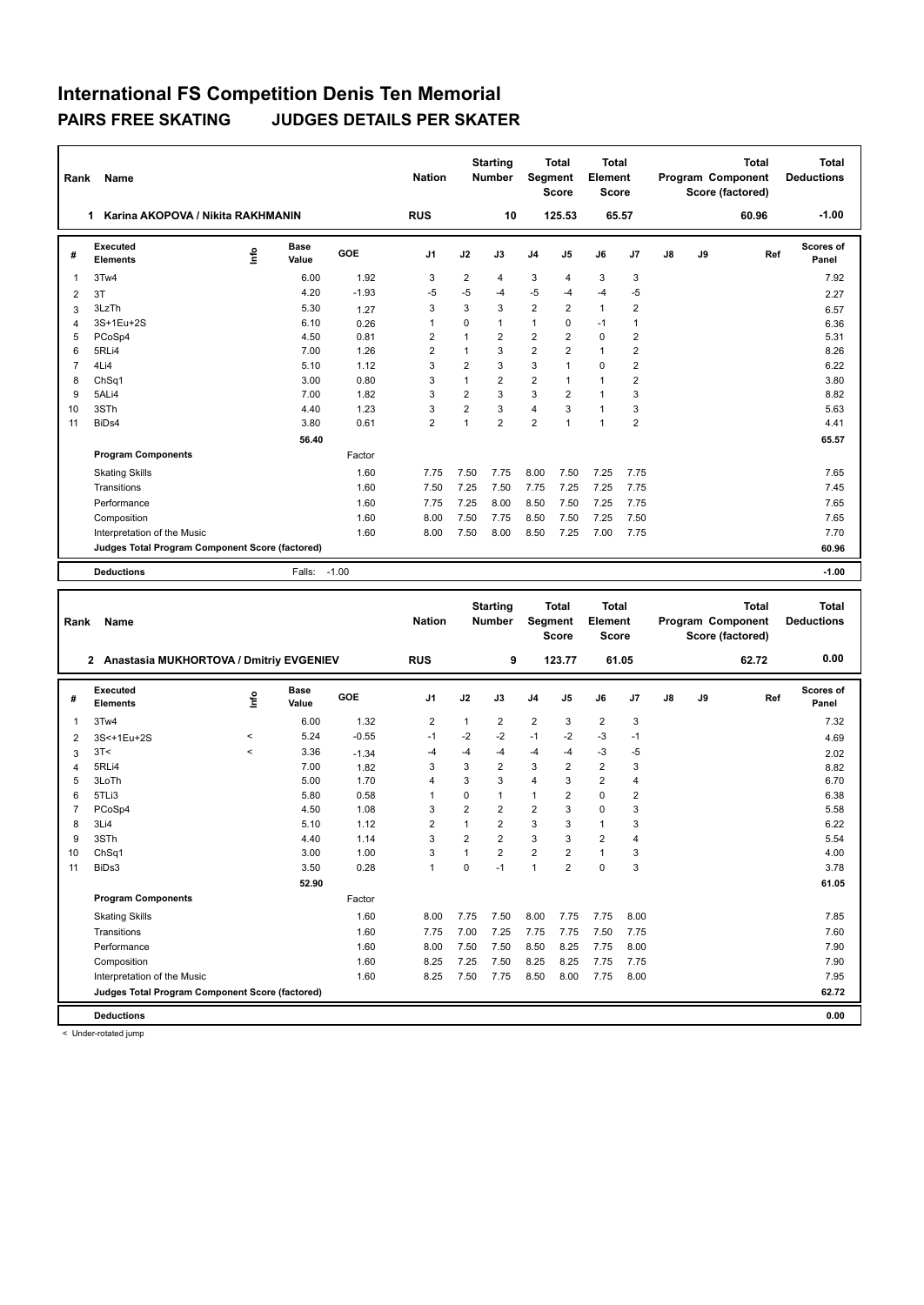| Rank           | <b>Name</b>                                     |    |               |         | <b>Nation</b>  |                | <b>Starting</b><br><b>Number</b> | <b>Segment</b> | <b>Total</b><br><b>Score</b> | <b>Total</b><br>Element<br><b>Score</b> |                |    |    | Total<br>Program Component<br>Score (factored) | Total<br><b>Deductions</b> |
|----------------|-------------------------------------------------|----|---------------|---------|----------------|----------------|----------------------------------|----------------|------------------------------|-----------------------------------------|----------------|----|----|------------------------------------------------|----------------------------|
|                | Karina AKOPOVA / Nikita RAKHMANIN<br>1          |    |               |         | <b>RUS</b>     |                | 10                               |                | 125.53                       | 65.57                                   |                |    |    | 60.96                                          | $-1.00$                    |
| #              | Executed<br><b>Elements</b>                     | ۴ů | Base<br>Value | GOE     | J <sub>1</sub> | J2             | J3                               | J <sub>4</sub> | J5                           | J6                                      | J <sub>7</sub> | J8 | J9 | Ref                                            | Scores of<br>Panel         |
| $\overline{1}$ | 3Tw4                                            |    | 6.00          | 1.92    | 3              | $\overline{2}$ | 4                                | 3              | 4                            | 3                                       | 3              |    |    |                                                | 7.92                       |
| 2              | 3T                                              |    | 4.20          | $-1.93$ | $-5$           | $-5$           | -4                               | $-5$           | $-4$                         | $-4$                                    | $-5$           |    |    |                                                | 2.27                       |
| 3              | 3LzTh                                           |    | 5.30          | 1.27    | 3              | 3              | 3                                | $\overline{2}$ | $\overline{2}$               | $\mathbf{1}$                            | $\overline{2}$ |    |    |                                                | 6.57                       |
| $\overline{4}$ | 3S+1Eu+2S                                       |    | 6.10          | 0.26    | $\overline{1}$ | 0              | $\mathbf{1}$                     | $\mathbf{1}$   | $\Omega$                     | $-1$                                    | $\overline{1}$ |    |    |                                                | 6.36                       |
| 5              | PCoSp4                                          |    | 4.50          | 0.81    | $\overline{2}$ | 1              | $\overline{2}$                   | $\overline{2}$ | $\overline{2}$               | $\Omega$                                | $\overline{2}$ |    |    |                                                | 5.31                       |
| 6              | 5RLi4                                           |    | 7.00          | 1.26    | $\overline{2}$ | 1              | 3                                | $\overline{2}$ | $\overline{2}$               | $\mathbf{1}$                            | $\overline{2}$ |    |    |                                                | 8.26                       |
| $\overline{7}$ | 4Li4                                            |    | 5.10          | 1.12    | 3              | $\overline{2}$ | 3                                | 3              | $\mathbf{1}$                 | 0                                       | $\overline{2}$ |    |    |                                                | 6.22                       |
| 8              | Ch <sub>Sq1</sub>                               |    | 3.00          | 0.80    | 3              | 1              | $\overline{2}$                   | $\overline{2}$ | 1                            | $\mathbf{1}$                            | $\overline{2}$ |    |    |                                                | 3.80                       |
| 9              | 5ALi4                                           |    | 7.00          | 1.82    | 3              | $\overline{2}$ | 3                                | 3              | $\overline{2}$               | $\mathbf{1}$                            | 3              |    |    |                                                | 8.82                       |
| 10             | 3STh                                            |    | 4.40          | 1.23    | 3              | $\overline{2}$ | 3                                | $\overline{4}$ | 3                            | $\mathbf{1}$                            | 3              |    |    |                                                | 5.63                       |
| 11             | BiD <sub>s4</sub>                               |    | 3.80          | 0.61    | $\overline{2}$ | 1              | $\overline{2}$                   | $\overline{2}$ | $\mathbf{1}$                 | $\mathbf{1}$                            | $\overline{2}$ |    |    |                                                | 4.41                       |
|                |                                                 |    | 56.40         |         |                |                |                                  |                |                              |                                         |                |    |    |                                                | 65.57                      |
|                | <b>Program Components</b>                       |    |               | Factor  |                |                |                                  |                |                              |                                         |                |    |    |                                                |                            |
|                | <b>Skating Skills</b>                           |    |               | 1.60    | 7.75           | 7.50           | 7.75                             | 8.00           | 7.50                         | 7.25                                    | 7.75           |    |    |                                                | 7.65                       |
|                | Transitions                                     |    |               | 1.60    | 7.50           | 7.25           | 7.50                             | 7.75           | 7.25                         | 7.25                                    | 7.75           |    |    |                                                | 7.45                       |
|                | Performance                                     |    |               | 1.60    | 7.75           | 7.25           | 8.00                             | 8.50           | 7.50                         | 7.25                                    | 7.75           |    |    |                                                | 7.65                       |
|                | Composition                                     |    |               | 1.60    | 8.00           | 7.50           | 7.75                             | 8.50           | 7.50                         | 7.25                                    | 7.50           |    |    |                                                | 7.65                       |
|                | Interpretation of the Music                     |    |               | 1.60    | 8.00           | 7.50           | 8.00                             | 8.50           | 7.25                         | 7.00                                    | 7.75           |    |    |                                                | 7.70                       |
|                | Judges Total Program Component Score (factored) |    |               |         |                |                |                                  |                |                              |                                         |                |    |    |                                                | 60.96                      |
|                | <b>Deductions</b>                               |    | Falls:        | $-1.00$ |                |                |                                  |                |                              |                                         |                |    |    |                                                | $-1.00$                    |

| Rank           | Name                                            |         |               |         | <b>Nation</b>  |                | <b>Starting</b><br><b>Number</b> | Segment        | <b>Total</b><br><b>Score</b> | <b>Total</b><br>Element<br>Score |       |               |    | <b>Total</b><br>Program Component<br>Score (factored) | <b>Total</b><br><b>Deductions</b> |
|----------------|-------------------------------------------------|---------|---------------|---------|----------------|----------------|----------------------------------|----------------|------------------------------|----------------------------------|-------|---------------|----|-------------------------------------------------------|-----------------------------------|
|                | 2 Anastasia MUKHORTOVA / Dmitriy EVGENIEV       |         |               |         | <b>RUS</b>     |                | 9                                |                | 123.77                       |                                  | 61.05 |               |    | 62.72                                                 | 0.00                              |
| #              | Executed<br><b>Elements</b>                     | Info    | Base<br>Value | GOE     | J <sub>1</sub> | J2             | J3                               | J <sub>4</sub> | J5                           | J6                               | J7    | $\mathsf{J}8$ | J9 | Ref                                                   | Scores of<br>Panel                |
| 1              | 3Tw4                                            |         | 6.00          | 1.32    | $\overline{2}$ | $\mathbf{1}$   | $\overline{2}$                   | $\overline{2}$ | 3                            | $\overline{2}$                   | 3     |               |    |                                                       | 7.32                              |
| 2              | 3S<+1Eu+2S                                      | $\prec$ | 5.24          | $-0.55$ | $-1$           | $-2$           | $-2$                             | $-1$           | $-2$                         | $-3$                             | $-1$  |               |    |                                                       | 4.69                              |
| 3              | 3T<                                             | $\prec$ | 3.36          | $-1.34$ | -4             | $-4$           | $-4$                             | $-4$           | -4                           | -3                               | -5    |               |    |                                                       | 2.02                              |
| $\overline{4}$ | 5RLi4                                           |         | 7.00          | 1.82    | 3              | 3              | $\overline{2}$                   | 3              | $\overline{2}$               | $\overline{2}$                   | 3     |               |    |                                                       | 8.82                              |
| 5              | 3LoTh                                           |         | 5.00          | 1.70    | $\overline{4}$ | 3              | 3                                | 4              | 3                            | $\overline{2}$                   | 4     |               |    |                                                       | 6.70                              |
| 6              | 5TLi3                                           |         | 5.80          | 0.58    | $\mathbf 1$    | $\Omega$       | 1                                | $\mathbf{1}$   | 2                            | $\Omega$                         | 2     |               |    |                                                       | 6.38                              |
| 7              | PCoSp4                                          |         | 4.50          | 1.08    | 3              | $\overline{2}$ | $\overline{2}$                   | $\overline{2}$ | 3                            | 0                                | 3     |               |    |                                                       | 5.58                              |
| 8              | 3Li4                                            |         | 5.10          | 1.12    | $\overline{2}$ | $\mathbf{1}$   | $\overline{2}$                   | 3              | 3                            | $\mathbf{1}$                     | 3     |               |    |                                                       | 6.22                              |
| 9              | 3STh                                            |         | 4.40          | 1.14    | 3              | $\overline{2}$ | $\overline{2}$                   | 3              | 3                            | $\overline{2}$                   | 4     |               |    |                                                       | 5.54                              |
| 10             | ChSq1                                           |         | 3.00          | 1.00    | 3              | 1              | $\overline{2}$                   | $\overline{2}$ | $\overline{2}$               | $\mathbf{1}$                     | 3     |               |    |                                                       | 4.00                              |
| 11             | BiDs3                                           |         | 3.50          | 0.28    | $\mathbf{1}$   | $\Omega$       | $-1$                             | $\mathbf{1}$   | $\overline{2}$               | $\mathbf 0$                      | 3     |               |    |                                                       | 3.78                              |
|                |                                                 |         | 52.90         |         |                |                |                                  |                |                              |                                  |       |               |    |                                                       | 61.05                             |
|                | <b>Program Components</b>                       |         |               | Factor  |                |                |                                  |                |                              |                                  |       |               |    |                                                       |                                   |
|                | <b>Skating Skills</b>                           |         |               | 1.60    | 8.00           | 7.75           | 7.50                             | 8.00           | 7.75                         | 7.75                             | 8.00  |               |    |                                                       | 7.85                              |
|                | Transitions                                     |         |               | 1.60    | 7.75           | 7.00           | 7.25                             | 7.75           | 7.75                         | 7.50                             | 7.75  |               |    |                                                       | 7.60                              |
|                | Performance                                     |         |               | 1.60    | 8.00           | 7.50           | 7.50                             | 8.50           | 8.25                         | 7.75                             | 8.00  |               |    |                                                       | 7.90                              |
|                | Composition                                     |         |               | 1.60    | 8.25           | 7.25           | 7.50                             | 8.25           | 8.25                         | 7.75                             | 7.75  |               |    |                                                       | 7.90                              |
|                | Interpretation of the Music                     |         |               | 1.60    | 8.25           | 7.50           | 7.75                             | 8.50           | 8.00                         | 7.75                             | 8.00  |               |    |                                                       | 7.95                              |
|                | Judges Total Program Component Score (factored) |         |               |         |                |                |                                  |                |                              |                                  |       |               |    |                                                       | 62.72                             |
|                | <b>Deductions</b>                               |         |               |         |                |                |                                  |                |                              |                                  |       |               |    |                                                       | 0.00                              |

< Under-rotated jump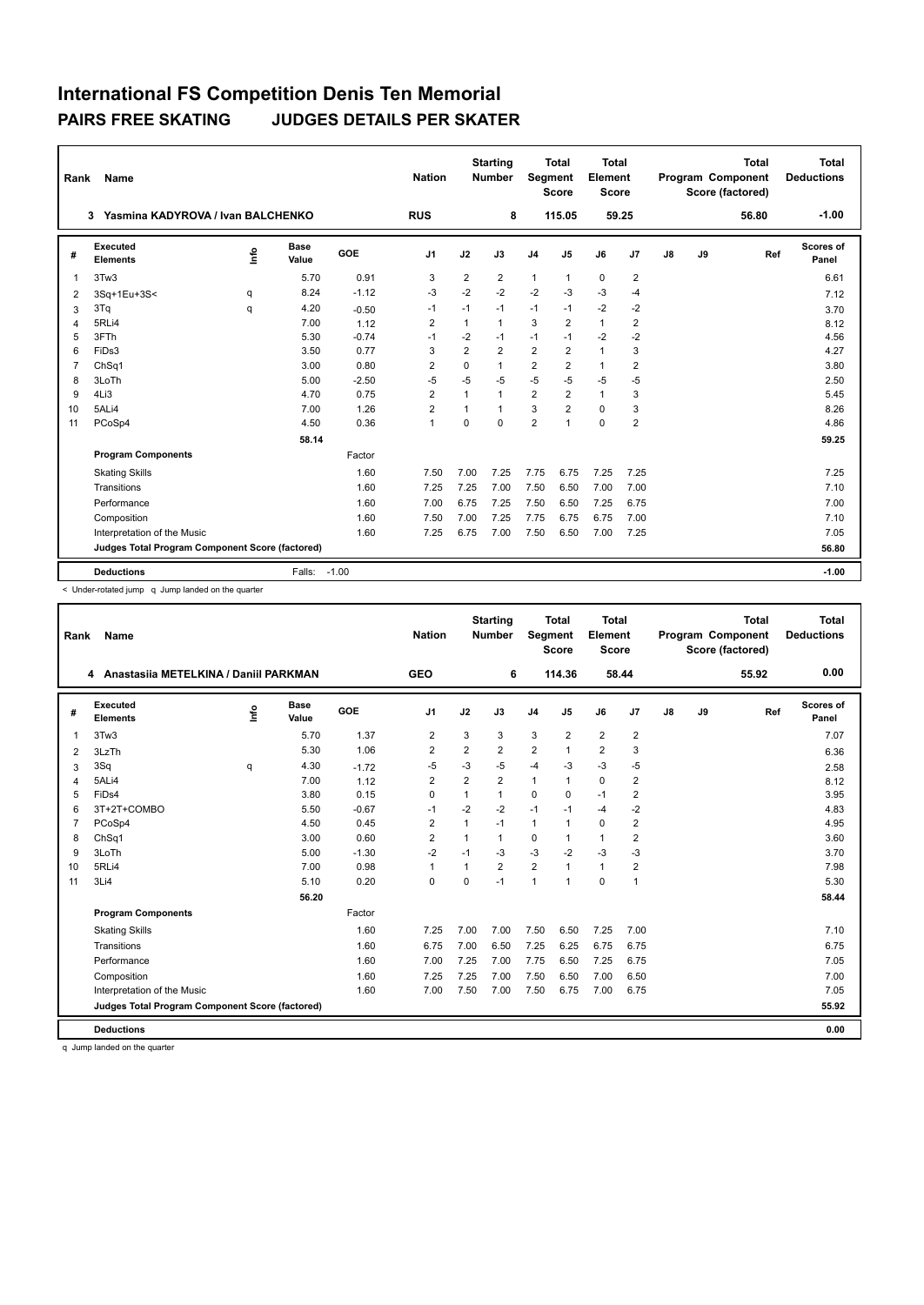| Rank | Name                                            |      |                      |         | <b>Nation</b>  |                | <b>Starting</b><br><b>Number</b> | Segment        | <b>Total</b><br><b>Score</b> | <b>Total</b><br>Element<br><b>Score</b> |                |               |    | <b>Total</b><br>Program Component<br>Score (factored) | <b>Total</b><br><b>Deductions</b> |
|------|-------------------------------------------------|------|----------------------|---------|----------------|----------------|----------------------------------|----------------|------------------------------|-----------------------------------------|----------------|---------------|----|-------------------------------------------------------|-----------------------------------|
|      | Yasmina KADYROVA / Ivan BALCHENKO<br>3          |      |                      |         | <b>RUS</b>     |                | 8                                |                | 115.05                       | 59.25                                   |                |               |    | 56.80                                                 | $-1.00$                           |
| #    | Executed<br><b>Elements</b>                     | lnfo | <b>Base</b><br>Value | GOE     | J <sub>1</sub> | J2             | J3                               | J <sub>4</sub> | J5                           | J6                                      | J7             | $\mathsf{J}8$ | J9 | Ref                                                   | Scores of<br>Panel                |
| 1    | 3Tw3                                            |      | 5.70                 | 0.91    | 3              | 2              | $\overline{2}$                   | $\mathbf{1}$   | 1                            | 0                                       | $\overline{2}$ |               |    |                                                       | 6.61                              |
| 2    | 3Sq+1Eu+3S<                                     | q    | 8.24                 | $-1.12$ | $-3$           | $-2$           | $-2$                             | $-2$           | $-3$                         | $-3$                                    | $-4$           |               |    |                                                       | 7.12                              |
| 3    | 3Tq                                             | q    | 4.20                 | $-0.50$ | $-1$           | $-1$           | $-1$                             | $-1$           | $-1$                         | $-2$                                    | $-2$           |               |    |                                                       | 3.70                              |
| 4    | 5RLi4                                           |      | 7.00                 | 1.12    | 2              | $\mathbf{1}$   | $\mathbf{1}$                     | 3              | $\overline{2}$               | $\mathbf{1}$                            | $\overline{2}$ |               |    |                                                       | 8.12                              |
| 5    | 3FTh                                            |      | 5.30                 | $-0.74$ | $-1$           | $-2$           | $-1$                             | $-1$           | $-1$                         | $-2$                                    | $-2$           |               |    |                                                       | 4.56                              |
| 6    | FiDs3                                           |      | 3.50                 | 0.77    | 3              | $\overline{2}$ | $\overline{2}$                   | $\overline{2}$ | $\overline{2}$               | $\mathbf{1}$                            | 3              |               |    |                                                       | 4.27                              |
| 7    | ChSq1                                           |      | 3.00                 | 0.80    | $\overline{2}$ | $\mathbf 0$    | $\mathbf{1}$                     | $\overline{2}$ | $\overline{2}$               | $\mathbf{1}$                            | 2              |               |    |                                                       | 3.80                              |
| 8    | 3LoTh                                           |      | 5.00                 | $-2.50$ | -5             | $-5$           | $-5$                             | -5             | $-5$                         | $-5$                                    | -5             |               |    |                                                       | 2.50                              |
| 9    | 4Li3                                            |      | 4.70                 | 0.75    | $\overline{2}$ |                | $\mathbf{1}$                     | $\overline{2}$ | $\overline{2}$               | $\mathbf{1}$                            | 3              |               |    |                                                       | 5.45                              |
| 10   | 5ALi4                                           |      | 7.00                 | 1.26    | $\overline{2}$ |                | 1                                | 3              | $\overline{2}$               | $\Omega$                                | 3              |               |    |                                                       | 8.26                              |
| 11   | PCoSp4                                          |      | 4.50                 | 0.36    | $\mathbf{1}$   | 0              | 0                                | $\overline{2}$ | $\overline{ }$               | 0                                       | $\overline{2}$ |               |    |                                                       | 4.86                              |
|      |                                                 |      | 58.14                |         |                |                |                                  |                |                              |                                         |                |               |    |                                                       | 59.25                             |
|      | <b>Program Components</b>                       |      |                      | Factor  |                |                |                                  |                |                              |                                         |                |               |    |                                                       |                                   |
|      | <b>Skating Skills</b>                           |      |                      | 1.60    | 7.50           | 7.00           | 7.25                             | 7.75           | 6.75                         | 7.25                                    | 7.25           |               |    |                                                       | 7.25                              |
|      | Transitions                                     |      |                      | 1.60    | 7.25           | 7.25           | 7.00                             | 7.50           | 6.50                         | 7.00                                    | 7.00           |               |    |                                                       | 7.10                              |
|      | Performance                                     |      |                      | 1.60    | 7.00           | 6.75           | 7.25                             | 7.50           | 6.50                         | 7.25                                    | 6.75           |               |    |                                                       | 7.00                              |
|      | Composition                                     |      |                      | 1.60    | 7.50           | 7.00           | 7.25                             | 7.75           | 6.75                         | 6.75                                    | 7.00           |               |    |                                                       | 7.10                              |
|      | Interpretation of the Music                     |      |                      | 1.60    | 7.25           | 6.75           | 7.00                             | 7.50           | 6.50                         | 7.00                                    | 7.25           |               |    |                                                       | 7.05                              |
|      | Judges Total Program Component Score (factored) |      |                      |         |                |                |                                  |                |                              |                                         |                |               |    |                                                       | 56.80                             |
|      | <b>Deductions</b>                               |      | Falls:               | $-1.00$ |                |                |                                  |                |                              |                                         |                |               |    |                                                       | $-1.00$                           |

< Under-rotated jump q Jump landed on the quarter

| Rank | Name                                            |   |                      |         | <b>Nation</b>  |                | <b>Starting</b><br><b>Number</b> | Segment        | <b>Total</b><br><b>Score</b> | <b>Total</b><br>Element<br><b>Score</b> |                |               |    | <b>Total</b><br>Program Component<br>Score (factored) | Total<br><b>Deductions</b> |
|------|-------------------------------------------------|---|----------------------|---------|----------------|----------------|----------------------------------|----------------|------------------------------|-----------------------------------------|----------------|---------------|----|-------------------------------------------------------|----------------------------|
|      | 4 Anastasiia METELKINA / Daniil PARKMAN         |   |                      |         | <b>GEO</b>     |                | 6                                |                | 114.36                       |                                         | 58.44          |               |    | 55.92                                                 | 0.00                       |
| #    | Executed<br><b>Elements</b>                     | ۴ | <b>Base</b><br>Value | GOE     | J1             | J2             | J3                               | J <sub>4</sub> | J <sub>5</sub>               | J6                                      | J7             | $\mathsf{J}8$ | J9 | Ref                                                   | <b>Scores of</b><br>Panel  |
| 1    | 3Tw3                                            |   | 5.70                 | 1.37    | $\overline{2}$ | 3              | 3                                | 3              | $\overline{2}$               | $\overline{2}$                          | $\overline{2}$ |               |    |                                                       | 7.07                       |
| 2    | 3LzTh                                           |   | 5.30                 | 1.06    | $\overline{2}$ | $\overline{2}$ | $\overline{2}$                   | $\overline{2}$ | $\mathbf{1}$                 | $\overline{2}$                          | 3              |               |    |                                                       | 6.36                       |
| 3    | 3Sq                                             | q | 4.30                 | $-1.72$ | -5             | $-3$           | -5                               | $-4$           | $-3$                         | $-3$                                    | $-5$           |               |    |                                                       | 2.58                       |
| 4    | 5ALi4                                           |   | 7.00                 | 1.12    | $\overline{2}$ | $\overline{2}$ | $\overline{2}$                   | $\mathbf{1}$   | $\mathbf{1}$                 | $\mathbf 0$                             | $\overline{2}$ |               |    |                                                       | 8.12                       |
| 5    | FiD <sub>s4</sub>                               |   | 3.80                 | 0.15    | $\mathbf 0$    | $\mathbf{1}$   | $\mathbf{1}$                     | 0              | $\Omega$                     | $-1$                                    | $\overline{2}$ |               |    |                                                       | 3.95                       |
| 6    | 3T+2T+COMBO                                     |   | 5.50                 | $-0.67$ | $-1$           | $-2$           | $-2$                             | $-1$           | $-1$                         | $-4$                                    | $-2$           |               |    |                                                       | 4.83                       |
|      | PCoSp4                                          |   | 4.50                 | 0.45    | 2              | 1              | $-1$                             | $\mathbf{1}$   | 1                            | $\Omega$                                | $\overline{2}$ |               |    |                                                       | 4.95                       |
| 8    | ChSq1                                           |   | 3.00                 | 0.60    | $\overline{2}$ | $\mathbf{1}$   | 1                                | $\mathbf 0$    | $\mathbf{1}$                 | $\mathbf{1}$                            | $\overline{2}$ |               |    |                                                       | 3.60                       |
| 9    | 3LoTh                                           |   | 5.00                 | $-1.30$ | $-2$           | $-1$           | $-3$                             | $-3$           | $-2$                         | $-3$                                    | $-3$           |               |    |                                                       | 3.70                       |
| 10   | 5RLi4                                           |   | 7.00                 | 0.98    | 1              | $\overline{1}$ | $\overline{2}$                   | $\overline{2}$ | $\overline{1}$               | $\mathbf{1}$                            | $\overline{2}$ |               |    |                                                       | 7.98                       |
| 11   | 3Li4                                            |   | 5.10                 | 0.20    | $\mathbf 0$    | $\Omega$       | $-1$                             | $\mathbf{1}$   | 1                            | 0                                       | $\mathbf{1}$   |               |    |                                                       | 5.30                       |
|      |                                                 |   | 56.20                |         |                |                |                                  |                |                              |                                         |                |               |    |                                                       | 58.44                      |
|      | <b>Program Components</b>                       |   |                      | Factor  |                |                |                                  |                |                              |                                         |                |               |    |                                                       |                            |
|      | <b>Skating Skills</b>                           |   |                      | 1.60    | 7.25           | 7.00           | 7.00                             | 7.50           | 6.50                         | 7.25                                    | 7.00           |               |    |                                                       | 7.10                       |
|      | Transitions                                     |   |                      | 1.60    | 6.75           | 7.00           | 6.50                             | 7.25           | 6.25                         | 6.75                                    | 6.75           |               |    |                                                       | 6.75                       |
|      | Performance                                     |   |                      | 1.60    | 7.00           | 7.25           | 7.00                             | 7.75           | 6.50                         | 7.25                                    | 6.75           |               |    |                                                       | 7.05                       |
|      | Composition                                     |   |                      | 1.60    | 7.25           | 7.25           | 7.00                             | 7.50           | 6.50                         | 7.00                                    | 6.50           |               |    |                                                       | 7.00                       |
|      | Interpretation of the Music                     |   |                      | 1.60    | 7.00           | 7.50           | 7.00                             | 7.50           | 6.75                         | 7.00                                    | 6.75           |               |    |                                                       | 7.05                       |
|      | Judges Total Program Component Score (factored) |   |                      |         |                |                |                                  |                |                              |                                         |                |               |    |                                                       | 55.92                      |
|      | <b>Deductions</b>                               |   |                      |         |                |                |                                  |                |                              |                                         |                |               |    |                                                       | 0.00                       |

q Jump landed on the quarter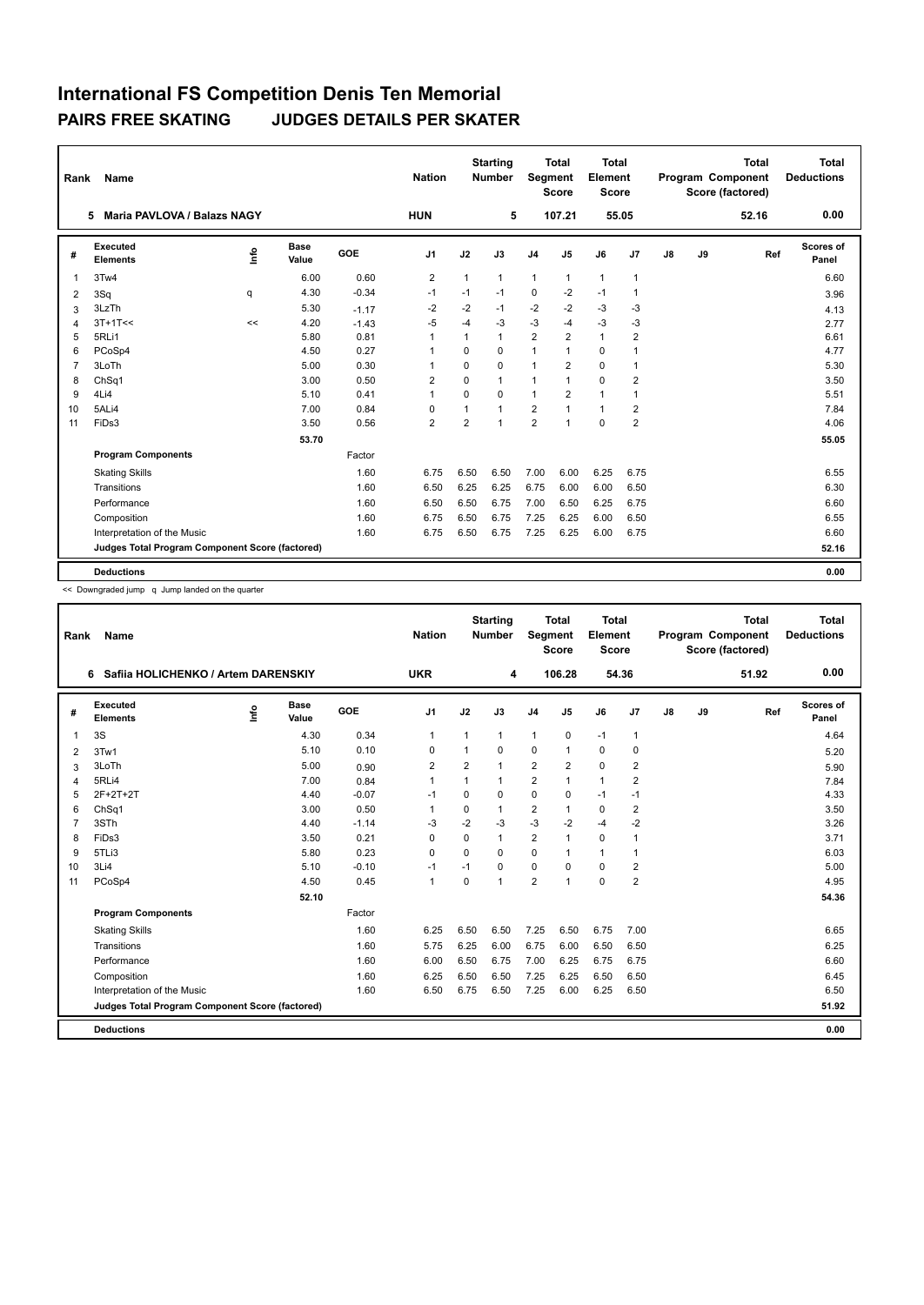| Rank           | <b>Name</b>                                     |    |                      |         | <b>Nation</b>  |                | <b>Starting</b><br><b>Number</b> | Segment        | <b>Total</b><br><b>Score</b> | <b>Total</b><br>Element<br>Score |                |               |    | <b>Total</b><br>Program Component<br>Score (factored) | <b>Total</b><br><b>Deductions</b> |
|----------------|-------------------------------------------------|----|----------------------|---------|----------------|----------------|----------------------------------|----------------|------------------------------|----------------------------------|----------------|---------------|----|-------------------------------------------------------|-----------------------------------|
|                | Maria PAVLOVA / Balazs NAGY<br>5                |    |                      |         | <b>HUN</b>     |                | 5                                |                | 107.21                       |                                  | 55.05          |               |    | 52.16                                                 | 0.00                              |
| #              | Executed<br><b>Elements</b>                     | ۴ů | <b>Base</b><br>Value | GOE     | J <sub>1</sub> | J2             | J3                               | J <sub>4</sub> | J <sub>5</sub>               | J6                               | J <sub>7</sub> | $\mathsf{J}8$ | J9 | Ref                                                   | <b>Scores of</b><br>Panel         |
| $\overline{1}$ | 3Tw4                                            |    | 6.00                 | 0.60    | $\overline{2}$ | $\mathbf{1}$   | 1                                | $\mathbf{1}$   | $\mathbf{1}$                 | $\mathbf{1}$                     | $\overline{1}$ |               |    |                                                       | 6.60                              |
| 2              | 3Sq                                             | q  | 4.30                 | $-0.34$ | $-1$           | $-1$           | $-1$                             | 0              | $-2$                         | $-1$                             | $\overline{1}$ |               |    |                                                       | 3.96                              |
| 3              | 3LzTh                                           |    | 5.30                 | $-1.17$ | $-2$           | $-2$           | $-1$                             | $-2$           | $-2$                         | $-3$                             | $-3$           |               |    |                                                       | 4.13                              |
| 4              | $3T+1T<<$                                       | << | 4.20                 | $-1.43$ | $-5$           | $-4$           | $-3$                             | $-3$           | $-4$                         | $-3$                             | -3             |               |    |                                                       | 2.77                              |
| 5              | 5RLi1                                           |    | 5.80                 | 0.81    | $\mathbf{1}$   | $\mathbf{1}$   | 1                                | $\overline{2}$ | $\overline{2}$               | $\mathbf{1}$                     | $\overline{2}$ |               |    |                                                       | 6.61                              |
| 6              | PCoSp4                                          |    | 4.50                 | 0.27    | -1             | $\Omega$       | 0                                | $\mathbf{1}$   | 1                            | 0                                | $\overline{1}$ |               |    |                                                       | 4.77                              |
| $\overline{7}$ | 3LoTh                                           |    | 5.00                 | 0.30    | $\mathbf 1$    | 0              | 0                                | $\mathbf{1}$   | 2                            | 0                                | $\overline{1}$ |               |    |                                                       | 5.30                              |
| 8              | ChSq1                                           |    | 3.00                 | 0.50    | $\overline{2}$ | $\Omega$       | 1                                | $\mathbf{1}$   | $\mathbf{1}$                 | $\Omega$                         | $\overline{2}$ |               |    |                                                       | 3.50                              |
| 9              | 4Li4                                            |    | 5.10                 | 0.41    | $\overline{1}$ | $\Omega$       | $\Omega$                         | $\overline{1}$ | 2                            | $\mathbf{1}$                     | $\overline{1}$ |               |    |                                                       | 5.51                              |
| 10             | 5ALi4                                           |    | 7.00                 | 0.84    | 0              | 1              | 1                                | $\overline{2}$ | $\mathbf{1}$                 | $\mathbf{1}$                     | 2              |               |    |                                                       | 7.84                              |
| 11             | FiDs3                                           |    | 3.50                 | 0.56    | $\overline{2}$ | $\overline{2}$ | 1                                | $\overline{2}$ | $\mathbf{1}$                 | $\Omega$                         | $\overline{2}$ |               |    |                                                       | 4.06                              |
|                |                                                 |    | 53.70                |         |                |                |                                  |                |                              |                                  |                |               |    |                                                       | 55.05                             |
|                | <b>Program Components</b>                       |    |                      | Factor  |                |                |                                  |                |                              |                                  |                |               |    |                                                       |                                   |
|                | <b>Skating Skills</b>                           |    |                      | 1.60    | 6.75           | 6.50           | 6.50                             | 7.00           | 6.00                         | 6.25                             | 6.75           |               |    |                                                       | 6.55                              |
|                | Transitions                                     |    |                      | 1.60    | 6.50           | 6.25           | 6.25                             | 6.75           | 6.00                         | 6.00                             | 6.50           |               |    |                                                       | 6.30                              |
|                | Performance                                     |    |                      | 1.60    | 6.50           | 6.50           | 6.75                             | 7.00           | 6.50                         | 6.25                             | 6.75           |               |    |                                                       | 6.60                              |
|                | Composition                                     |    |                      | 1.60    | 6.75           | 6.50           | 6.75                             | 7.25           | 6.25                         | 6.00                             | 6.50           |               |    |                                                       | 6.55                              |
|                | Interpretation of the Music                     |    |                      | 1.60    | 6.75           | 6.50           | 6.75                             | 7.25           | 6.25                         | 6.00                             | 6.75           |               |    |                                                       | 6.60                              |
|                | Judges Total Program Component Score (factored) |    |                      |         |                |                |                                  |                |                              |                                  |                |               |    |                                                       | 52.16                             |
|                | <b>Deductions</b>                               |    |                      |         |                |                |                                  |                |                              |                                  |                |               |    |                                                       | 0.00                              |

<< Downgraded jump q Jump landed on the quarter

| Rank           | <b>Name</b>                                     |      |                      |         | <b>Nation</b>  |                | <b>Starting</b><br><b>Number</b> | Segment        | <b>Total</b><br><b>Score</b> | Total<br>Element<br><b>Score</b> |                |               |    | <b>Total</b><br>Program Component<br>Score (factored) | Total<br><b>Deductions</b> |
|----------------|-------------------------------------------------|------|----------------------|---------|----------------|----------------|----------------------------------|----------------|------------------------------|----------------------------------|----------------|---------------|----|-------------------------------------------------------|----------------------------|
|                | Safija HOLICHENKO / Artem DARENSKIY<br>6        |      |                      |         | <b>UKR</b>     |                | 4                                |                | 106.28                       |                                  | 54.36          |               |    | 51.92                                                 | 0.00                       |
| #              | Executed<br><b>Elements</b>                     | lnfo | <b>Base</b><br>Value | GOE     | J1             | J2             | J3                               | J <sub>4</sub> | J5                           | J6                               | J7             | $\mathsf{J}8$ | J9 | Ref                                                   | Scores of<br>Panel         |
| $\overline{1}$ | 3S                                              |      | 4.30                 | 0.34    | $\mathbf{1}$   | $\mathbf{1}$   | $\mathbf{1}$                     | $\mathbf{1}$   | $\mathbf 0$                  | $-1$                             | $\mathbf{1}$   |               |    |                                                       | 4.64                       |
| 2              | 3Tw1                                            |      | 5.10                 | 0.10    | 0              | $\overline{1}$ | $\Omega$                         | 0              | 1                            | 0                                | 0              |               |    |                                                       | 5.20                       |
| 3              | 3LoTh                                           |      | 5.00                 | 0.90    | $\overline{2}$ | $\overline{2}$ | 1                                | $\overline{2}$ | $\overline{2}$               | $\Omega$                         | $\overline{2}$ |               |    |                                                       | 5.90                       |
| $\overline{4}$ | 5RLi4                                           |      | 7.00                 | 0.84    | $\mathbf 1$    | 1              | 1                                | $\overline{2}$ | 1                            | $\mathbf{1}$                     | $\overline{2}$ |               |    |                                                       | 7.84                       |
| 5              | $2F+2T+2T$                                      |      | 4.40                 | $-0.07$ | $-1$           | $\Omega$       | $\Omega$                         | $\mathbf 0$    | $\Omega$                     | $-1$                             | $-1$           |               |    |                                                       | 4.33                       |
| 6              | ChSq1                                           |      | 3.00                 | 0.50    | 1              | 0              | $\mathbf{1}$                     | $\overline{2}$ | 1                            | $\mathbf 0$                      | $\overline{2}$ |               |    |                                                       | 3.50                       |
| $\overline{7}$ | 3STh                                            |      | 4.40                 | $-1.14$ | -3             | $-2$           | $-3$                             | $-3$           | $-2$                         | $-4$                             | $-2$           |               |    |                                                       | 3.26                       |
| 8              | FiDs3                                           |      | 3.50                 | 0.21    | 0              | $\mathbf 0$    | $\mathbf{1}$                     | $\overline{2}$ | 1                            | $\mathbf 0$                      | $\mathbf{1}$   |               |    |                                                       | 3.71                       |
| 9              | 5TLi3                                           |      | 5.80                 | 0.23    | $\Omega$       | $\Omega$       | $\Omega$                         | $\Omega$       | 1                            | $\mathbf{1}$                     | $\mathbf{1}$   |               |    |                                                       | 6.03                       |
| 10             | 3Li4                                            |      | 5.10                 | $-0.10$ | $-1$           | $-1$           | $\Omega$                         | $\Omega$       | $\Omega$                     | $\Omega$                         | $\overline{2}$ |               |    |                                                       | 5.00                       |
| 11             | PCoSp4                                          |      | 4.50                 | 0.45    | $\mathbf{1}$   | $\Omega$       | $\mathbf{1}$                     | $\overline{2}$ | 1                            | $\Omega$                         | $\overline{2}$ |               |    |                                                       | 4.95                       |
|                |                                                 |      | 52.10                |         |                |                |                                  |                |                              |                                  |                |               |    |                                                       | 54.36                      |
|                | <b>Program Components</b>                       |      |                      | Factor  |                |                |                                  |                |                              |                                  |                |               |    |                                                       |                            |
|                | <b>Skating Skills</b>                           |      |                      | 1.60    | 6.25           | 6.50           | 6.50                             | 7.25           | 6.50                         | 6.75                             | 7.00           |               |    |                                                       | 6.65                       |
|                | Transitions                                     |      |                      | 1.60    | 5.75           | 6.25           | 6.00                             | 6.75           | 6.00                         | 6.50                             | 6.50           |               |    |                                                       | 6.25                       |
|                | Performance                                     |      |                      | 1.60    | 6.00           | 6.50           | 6.75                             | 7.00           | 6.25                         | 6.75                             | 6.75           |               |    |                                                       | 6.60                       |
|                | Composition                                     |      |                      | 1.60    | 6.25           | 6.50           | 6.50                             | 7.25           | 6.25                         | 6.50                             | 6.50           |               |    |                                                       | 6.45                       |
|                | Interpretation of the Music                     |      |                      | 1.60    | 6.50           | 6.75           | 6.50                             | 7.25           | 6.00                         | 6.25                             | 6.50           |               |    |                                                       | 6.50                       |
|                | Judges Total Program Component Score (factored) |      |                      |         |                |                |                                  |                |                              |                                  |                |               |    |                                                       | 51.92                      |
|                | <b>Deductions</b>                               |      |                      |         |                |                |                                  |                |                              |                                  |                |               |    |                                                       | 0.00                       |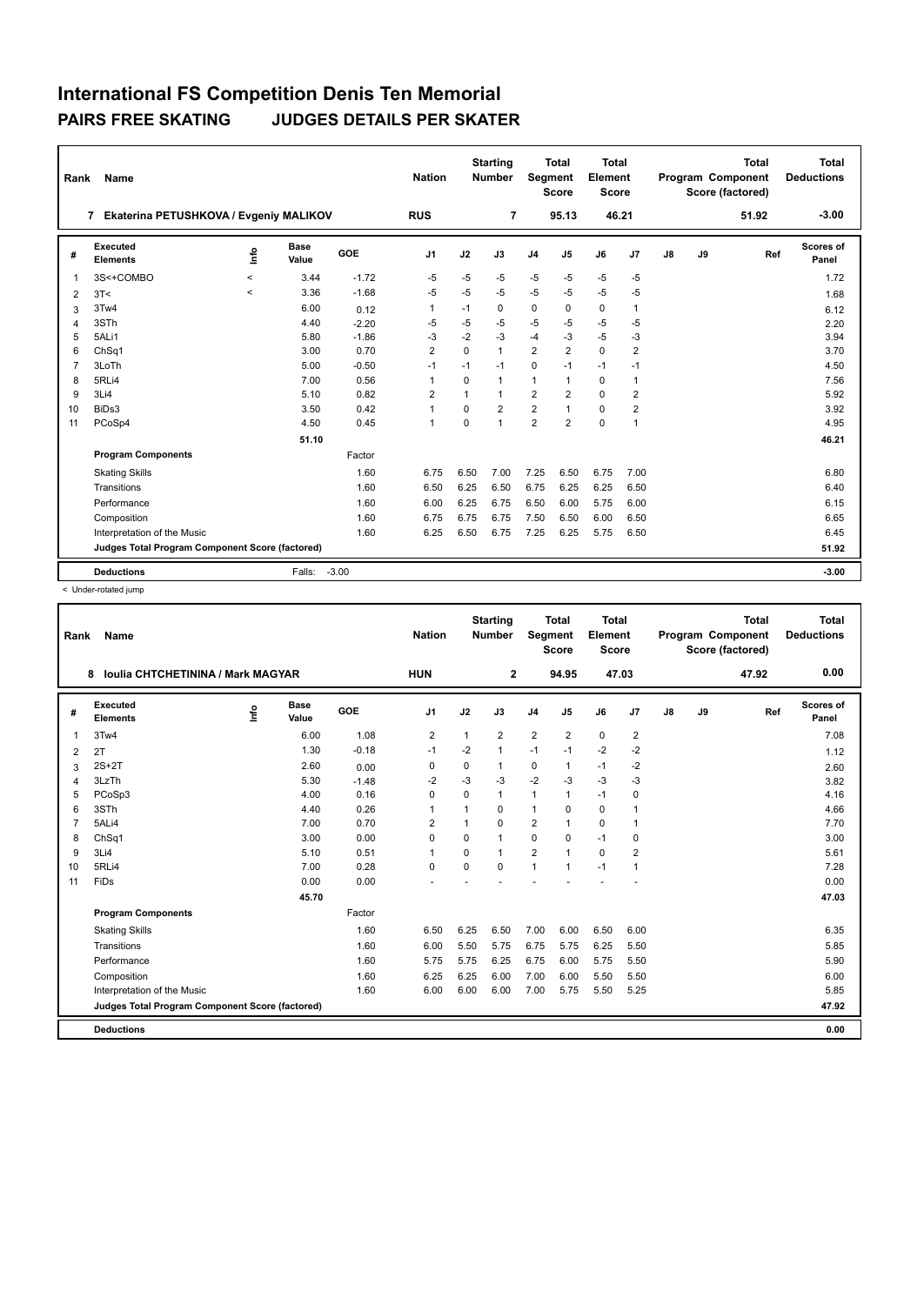| Rank           | <b>Name</b>                                     |          |                      |         | <b>Nation</b>  |             | <b>Starting</b><br><b>Number</b> | Segment        | <b>Total</b><br><b>Score</b> | <b>Total</b><br>Element<br><b>Score</b> |                |    |    | <b>Total</b><br>Program Component<br>Score (factored) | <b>Total</b><br><b>Deductions</b> |
|----------------|-------------------------------------------------|----------|----------------------|---------|----------------|-------------|----------------------------------|----------------|------------------------------|-----------------------------------------|----------------|----|----|-------------------------------------------------------|-----------------------------------|
|                | Ekaterina PETUSHKOVA / Evgeniy MALIKOV<br>7     |          |                      |         | <b>RUS</b>     |             | 7                                |                | 95.13                        | 46.21                                   |                |    |    | 51.92                                                 | $-3.00$                           |
| #              | Executed<br><b>Elements</b>                     | ١nfo     | <b>Base</b><br>Value | GOE     | J <sub>1</sub> | J2          | J3                               | J <sub>4</sub> | J <sub>5</sub>               | J6                                      | J7             | J8 | J9 | Ref                                                   | <b>Scores of</b><br>Panel         |
| 1              | 3S<+COMBO                                       | $\hat{}$ | 3.44                 | $-1.72$ | $-5$           | $-5$        | $-5$                             | $-5$           | $-5$                         | $-5$                                    | $-5$           |    |    |                                                       | 1.72                              |
| 2              | 3T<                                             | $\prec$  | 3.36                 | $-1.68$ | -5             | $-5$        | $-5$                             | $-5$           | $-5$                         | $-5$                                    | -5             |    |    |                                                       | 1.68                              |
| 3              | 3Tw4                                            |          | 6.00                 | 0.12    | 1              | $-1$        | 0                                | $\mathbf 0$    | 0                            | $\mathbf 0$                             | $\mathbf{1}$   |    |    |                                                       | 6.12                              |
| $\overline{4}$ | 3STh                                            |          | 4.40                 | $-2.20$ | -5             | $-5$        | $-5$                             | $-5$           | $-5$                         | $-5$                                    | -5             |    |    |                                                       | 2.20                              |
| 5              | 5ALi1                                           |          | 5.80                 | $-1.86$ | $-3$           | $-2$        | $-3$                             | $-4$           | $-3$                         | $-5$                                    | $-3$           |    |    |                                                       | 3.94                              |
| 6              | ChSq1                                           |          | 3.00                 | 0.70    | $\overline{2}$ | $\mathbf 0$ | 1                                | $\overline{2}$ | $\overline{2}$               | $\mathbf 0$                             | $\overline{2}$ |    |    |                                                       | 3.70                              |
| $\overline{7}$ | 3LoTh                                           |          | 5.00                 | $-0.50$ | $-1$           | $-1$        | $-1$                             | $\mathbf 0$    | $-1$                         | $-1$                                    | $-1$           |    |    |                                                       | 4.50                              |
| 8              | 5RLi4                                           |          | 7.00                 | 0.56    | 1              | $\Omega$    | 1                                | $\mathbf{1}$   | 1                            | $\mathbf 0$                             | $\mathbf{1}$   |    |    |                                                       | 7.56                              |
| 9              | 3Li4                                            |          | 5.10                 | 0.82    | 2              | 1           | 1                                | $\overline{2}$ | 2                            | $\mathbf 0$                             | $\overline{2}$ |    |    |                                                       | 5.92                              |
| 10             | BiDs3                                           |          | 3.50                 | 0.42    | $\mathbf{1}$   | $\Omega$    | $\overline{2}$                   | $\overline{2}$ | 1                            | $\mathbf 0$                             | $\overline{2}$ |    |    |                                                       | 3.92                              |
| 11             | PCoSp4                                          |          | 4.50                 | 0.45    | $\mathbf{1}$   | $\Omega$    | 1                                | $\overline{2}$ | $\overline{2}$               | 0                                       | 1              |    |    |                                                       | 4.95                              |
|                |                                                 |          | 51.10                |         |                |             |                                  |                |                              |                                         |                |    |    |                                                       | 46.21                             |
|                | <b>Program Components</b>                       |          |                      | Factor  |                |             |                                  |                |                              |                                         |                |    |    |                                                       |                                   |
|                | <b>Skating Skills</b>                           |          |                      | 1.60    | 6.75           | 6.50        | 7.00                             | 7.25           | 6.50                         | 6.75                                    | 7.00           |    |    |                                                       | 6.80                              |
|                | Transitions                                     |          |                      | 1.60    | 6.50           | 6.25        | 6.50                             | 6.75           | 6.25                         | 6.25                                    | 6.50           |    |    |                                                       | 6.40                              |
|                | Performance                                     |          |                      | 1.60    | 6.00           | 6.25        | 6.75                             | 6.50           | 6.00                         | 5.75                                    | 6.00           |    |    |                                                       | 6.15                              |
|                | Composition                                     |          |                      | 1.60    | 6.75           | 6.75        | 6.75                             | 7.50           | 6.50                         | 6.00                                    | 6.50           |    |    |                                                       | 6.65                              |
|                | Interpretation of the Music                     |          |                      | 1.60    | 6.25           | 6.50        | 6.75                             | 7.25           | 6.25                         | 5.75                                    | 6.50           |    |    |                                                       | 6.45                              |
|                | Judges Total Program Component Score (factored) |          |                      |         |                |             |                                  |                |                              |                                         |                |    |    |                                                       | 51.92                             |
|                | <b>Deductions</b>                               |          | Falls:               | $-3.00$ |                |             |                                  |                |                              |                                         |                |    |    |                                                       | $-3.00$                           |

< Under-rotated jump

| Rank           | Name                                            |   |               |         | <b>Nation</b>  |             | <b>Starting</b><br><b>Number</b> | Segment        | <b>Total</b><br><b>Score</b> | Total<br>Element<br><b>Score</b> |                |    |    | <b>Total</b><br>Program Component<br>Score (factored) | <b>Total</b><br><b>Deductions</b> |
|----------------|-------------------------------------------------|---|---------------|---------|----------------|-------------|----------------------------------|----------------|------------------------------|----------------------------------|----------------|----|----|-------------------------------------------------------|-----------------------------------|
|                | <b>Ioulia CHTCHETININA / Mark MAGYAR</b><br>8   |   |               |         | <b>HUN</b>     |             | $\mathbf{2}$                     |                | 94.95                        |                                  | 47.03          |    |    | 47.92                                                 | 0.00                              |
| #              | Executed<br><b>Elements</b>                     | ۴ | Base<br>Value | GOE     | J1             | J2          | J3                               | J <sub>4</sub> | J5                           | J6                               | J7             | J8 | J9 | Ref                                                   | Scores of<br>Panel                |
| $\mathbf{1}$   | 3Tw4                                            |   | 6.00          | 1.08    | 2              | 1           | $\overline{2}$                   | $\overline{2}$ | $\overline{2}$               | $\pmb{0}$                        | $\overline{2}$ |    |    |                                                       | 7.08                              |
| 2              | 2T                                              |   | 1.30          | $-0.18$ | $-1$           | $-2$        | 1                                | $-1$           | $-1$                         | $-2$                             | $-2$           |    |    |                                                       | 1.12                              |
| 3              | $2S+2T$                                         |   | 2.60          | 0.00    | 0              | 0           | $\mathbf{1}$                     | $\mathbf 0$    | $\mathbf{1}$                 | $-1$                             | $-2$           |    |    |                                                       | 2.60                              |
| 4              | 3LzTh                                           |   | 5.30          | $-1.48$ | $-2$           | $-3$        | -3                               | $-2$           | -3                           | -3                               | -3             |    |    |                                                       | 3.82                              |
| 5              | PCoSp3                                          |   | 4.00          | 0.16    | 0              | 0           | $\mathbf{1}$                     | $\mathbf{1}$   | 1                            | $-1$                             | 0              |    |    |                                                       | 4.16                              |
| 6              | 3STh                                            |   | 4.40          | 0.26    | 1              | 1           | $\Omega$                         | $\mathbf{1}$   | $\Omega$                     | $\Omega$                         | 1              |    |    |                                                       | 4.66                              |
| $\overline{7}$ | 5ALi4                                           |   | 7.00          | 0.70    | $\overline{2}$ | 1           | $\Omega$                         | $\overline{2}$ | 1                            | $\mathbf 0$                      | 1              |    |    |                                                       | 7.70                              |
| 8              | ChSq1                                           |   | 3.00          | 0.00    | $\mathbf 0$    | $\mathbf 0$ | 1                                | $\mathbf 0$    | $\Omega$                     | $-1$                             | $\mathbf 0$    |    |    |                                                       | 3.00                              |
| 9              | 3Li4                                            |   | 5.10          | 0.51    | 1              | $\Omega$    | 1                                | $\overline{2}$ | 1                            | $\mathbf 0$                      | $\overline{2}$ |    |    |                                                       | 5.61                              |
| 10             | 5RLi4                                           |   | 7.00          | 0.28    | $\Omega$       | $\Omega$    | $\Omega$                         | $\mathbf{1}$   | $\mathbf{1}$                 | $-1$                             | 1              |    |    |                                                       | 7.28                              |
| 11             | FiDs                                            |   | 0.00          | 0.00    |                |             |                                  |                |                              |                                  |                |    |    |                                                       | 0.00                              |
|                |                                                 |   | 45.70         |         |                |             |                                  |                |                              |                                  |                |    |    |                                                       | 47.03                             |
|                | <b>Program Components</b>                       |   |               | Factor  |                |             |                                  |                |                              |                                  |                |    |    |                                                       |                                   |
|                | <b>Skating Skills</b>                           |   |               | 1.60    | 6.50           | 6.25        | 6.50                             | 7.00           | 6.00                         | 6.50                             | 6.00           |    |    |                                                       | 6.35                              |
|                | Transitions                                     |   |               | 1.60    | 6.00           | 5.50        | 5.75                             | 6.75           | 5.75                         | 6.25                             | 5.50           |    |    |                                                       | 5.85                              |
|                | Performance                                     |   |               | 1.60    | 5.75           | 5.75        | 6.25                             | 6.75           | 6.00                         | 5.75                             | 5.50           |    |    |                                                       | 5.90                              |
|                | Composition                                     |   |               | 1.60    | 6.25           | 6.25        | 6.00                             | 7.00           | 6.00                         | 5.50                             | 5.50           |    |    |                                                       | 6.00                              |
|                | Interpretation of the Music                     |   |               | 1.60    | 6.00           | 6.00        | 6.00                             | 7.00           | 5.75                         | 5.50                             | 5.25           |    |    |                                                       | 5.85                              |
|                | Judges Total Program Component Score (factored) |   |               |         |                |             |                                  |                |                              |                                  |                |    |    |                                                       | 47.92                             |
|                | <b>Deductions</b>                               |   |               |         |                |             |                                  |                |                              |                                  |                |    |    |                                                       | 0.00                              |